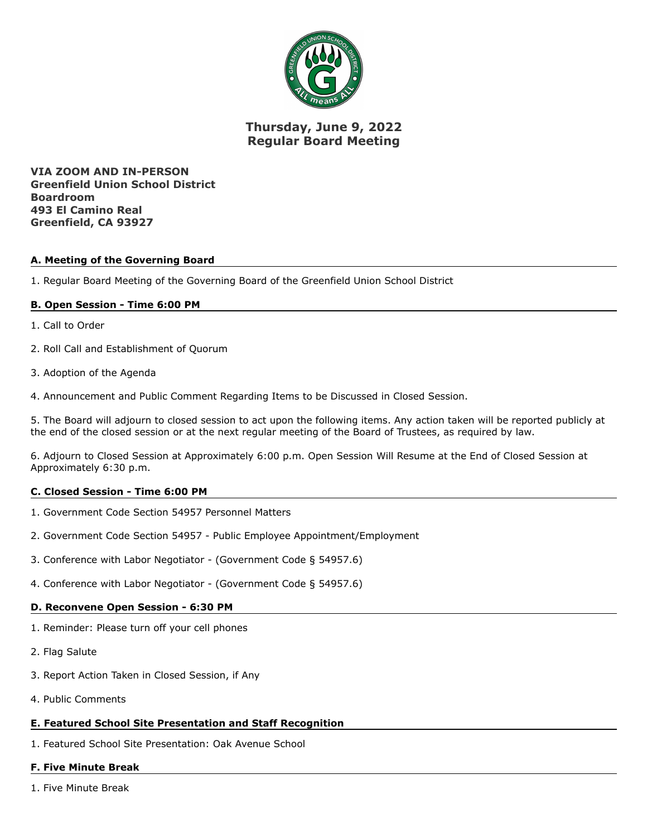

# **Thursday, June 9, 2022 Regular Board Meeting**

**VIA ZOOM AND IN-PERSON Greenfield Union School District Boardroom 493 El Camino Real Greenfield, CA 93927**

## **A. Meeting of the Governing Board**

1. Regular Board Meeting of the Governing Board of the Greenfield Union School District

## **B. Open Session - Time 6:00 PM**

- 1. Call to Order
- 2. Roll Call and Establishment of Quorum
- 3. Adoption of the Agenda

4. Announcement and Public Comment Regarding Items to be Discussed in Closed Session.

5. The Board will adjourn to closed session to act upon the following items. Any action taken will be reported publicly at the end of the closed session or at the next regular meeting of the Board of Trustees, as required by law.

6. Adjourn to Closed Session at Approximately 6:00 p.m. Open Session Will Resume at the End of Closed Session at Approximately 6:30 p.m.

#### **C. Closed Session - Time 6:00 PM**

- 1. Government Code Section 54957 Personnel Matters
- 2. Government Code Section 54957 Public Employee Appointment/Employment
- 3. Conference with Labor Negotiator (Government Code § 54957.6)
- 4. Conference with Labor Negotiator (Government Code § 54957.6)

# **D. Reconvene Open Session - 6:30 PM**

- 1. Reminder: Please turn off your cell phones
- 2. Flag Salute
- 3. Report Action Taken in Closed Session, if Any
- 4. Public Comments

# **E. Featured School Site Presentation and Staff Recognition**

1. Featured School Site Presentation: Oak Avenue School

# **F. Five Minute Break**

1. Five Minute Break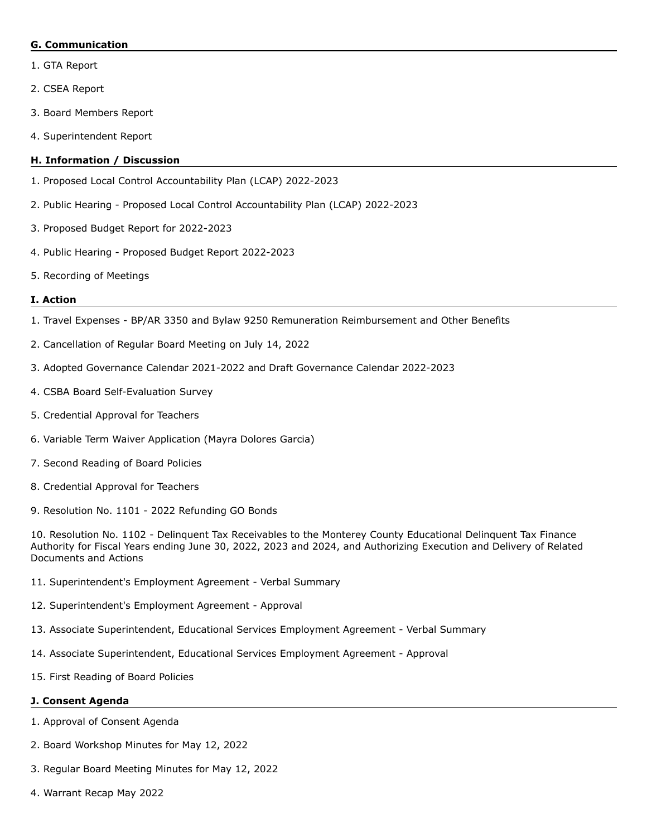#### **G. Communication**

- 1. GTA Report
- 2. CSEA Report
- 3. Board Members Report
- 4. Superintendent Report

# **H. Information / Discussion**

- 1. Proposed Local Control Accountability Plan (LCAP) 2022-2023
- 2. Public Hearing Proposed Local Control Accountability Plan (LCAP) 2022-2023
- 3. Proposed Budget Report for 2022-2023
- 4. Public Hearing Proposed Budget Report 2022-2023
- 5. Recording of Meetings

## **I. Action**

- 1. Travel Expenses BP/AR 3350 and Bylaw 9250 Remuneration Reimbursement and Other Benefits
- 2. Cancellation of Regular Board Meeting on July 14, 2022
- 3. Adopted Governance Calendar 2021-2022 and Draft Governance Calendar 2022-2023
- 4. CSBA Board Self-Evaluation Survey
- 5. Credential Approval for Teachers
- 6. Variable Term Waiver Application (Mayra Dolores Garcia)
- 7. Second Reading of Board Policies
- 8. Credential Approval for Teachers
- 9. Resolution No. 1101 2022 Refunding GO Bonds

10. Resolution No. 1102 - Delinquent Tax Receivables to the Monterey County Educational Delinquent Tax Finance Authority for Fiscal Years ending June 30, 2022, 2023 and 2024, and Authorizing Execution and Delivery of Related Documents and Actions

- 11. Superintendent's Employment Agreement Verbal Summary
- 12. Superintendent's Employment Agreement Approval
- 13. Associate Superintendent, Educational Services Employment Agreement Verbal Summary
- 14. Associate Superintendent, Educational Services Employment Agreement Approval
- 15. First Reading of Board Policies

# **J. Consent Agenda**

- 1. Approval of Consent Agenda
- 2. Board Workshop Minutes for May 12, 2022
- 3. Regular Board Meeting Minutes for May 12, 2022
- 4. Warrant Recap May 2022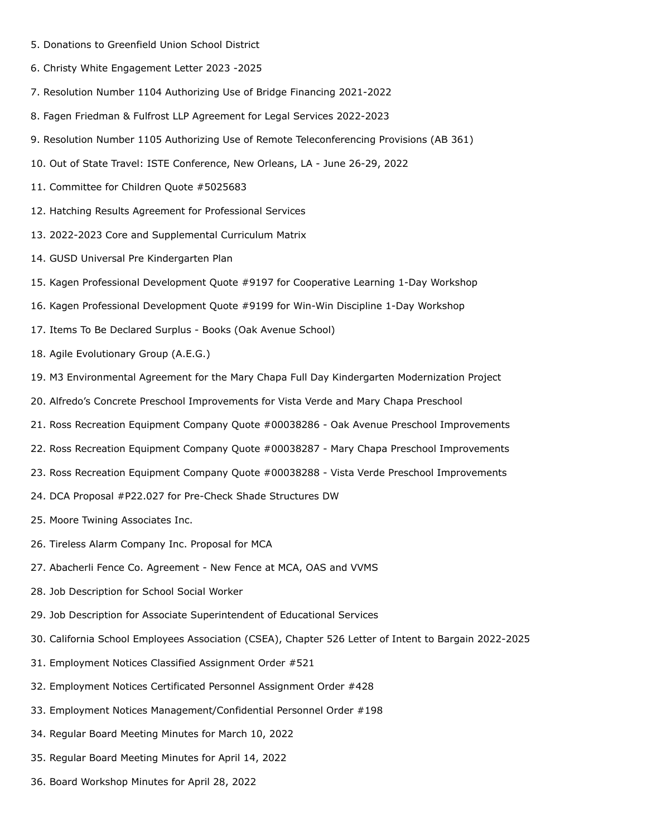- 5. Donations to Greenfield Union School District
- 6. Christy White Engagement Letter 2023 -2025
- 7. Resolution Number 1104 Authorizing Use of Bridge Financing 2021-2022
- 8. Fagen Friedman & Fulfrost LLP Agreement for Legal Services 2022-2023
- 9. Resolution Number 1105 Authorizing Use of Remote Teleconferencing Provisions (AB 361)
- 10. Out of State Travel: ISTE Conference, New Orleans, LA June 26-29, 2022
- 11. Committee for Children Quote #5025683
- 12. Hatching Results Agreement for Professional Services
- 13. 2022-2023 Core and Supplemental Curriculum Matrix
- 14. GUSD Universal Pre Kindergarten Plan
- 15. Kagen Professional Development Quote #9197 for Cooperative Learning 1-Day Workshop
- 16. Kagen Professional Development Quote #9199 for Win-Win Discipline 1-Day Workshop
- 17. Items To Be Declared Surplus Books (Oak Avenue School)
- 18. Agile Evolutionary Group (A.E.G.)
- 19. M3 Environmental Agreement for the Mary Chapa Full Day Kindergarten Modernization Project
- 20. Alfredo's Concrete Preschool Improvements for Vista Verde and Mary Chapa Preschool
- 21. Ross Recreation Equipment Company Quote #00038286 Oak Avenue Preschool Improvements
- 22. Ross Recreation Equipment Company Quote #00038287 Mary Chapa Preschool Improvements
- 23. Ross Recreation Equipment Company Quote #00038288 Vista Verde Preschool Improvements
- 24. DCA Proposal #P22.027 for Pre-Check Shade Structures DW
- 25. Moore Twining Associates Inc.
- 26. Tireless Alarm Company Inc. Proposal for MCA
- 27. Abacherli Fence Co. Agreement New Fence at MCA, OAS and VVMS
- 28. Job Description for School Social Worker
- 29. Job Description for Associate Superintendent of Educational Services
- 30. California School Employees Association (CSEA), Chapter 526 Letter of Intent to Bargain 2022-2025
- 31. Employment Notices Classified Assignment Order #521
- 32. Employment Notices Certificated Personnel Assignment Order #428
- 33. Employment Notices Management/Confidential Personnel Order #198
- 34. Regular Board Meeting Minutes for March 10, 2022
- 35. Regular Board Meeting Minutes for April 14, 2022
- 36. Board Workshop Minutes for April 28, 2022